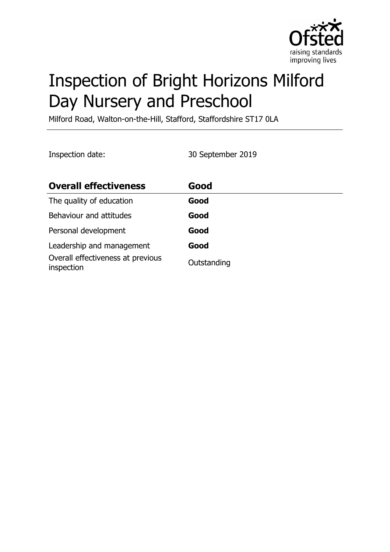

# Inspection of Bright Horizons Milford Day Nursery and Preschool

Milford Road, Walton-on-the-Hill, Stafford, Staffordshire ST17 0LA

Inspection date: 30 September 2019

| <b>Overall effectiveness</b>                    | Good        |
|-------------------------------------------------|-------------|
| The quality of education                        | Good        |
| Behaviour and attitudes                         | Good        |
| Personal development                            | Good        |
| Leadership and management                       | Good        |
| Overall effectiveness at previous<br>inspection | Outstanding |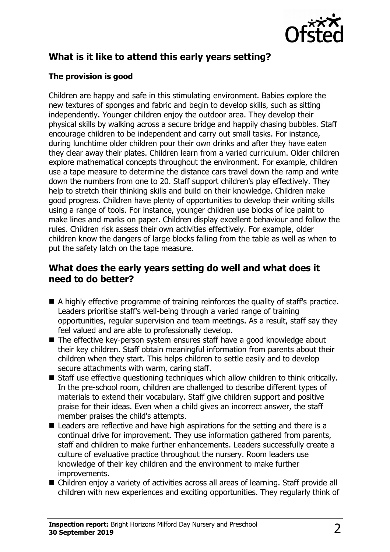

# **What is it like to attend this early years setting?**

## **The provision is good**

Children are happy and safe in this stimulating environment. Babies explore the new textures of sponges and fabric and begin to develop skills, such as sitting independently. Younger children enjoy the outdoor area. They develop their physical skills by walking across a secure bridge and happily chasing bubbles. Staff encourage children to be independent and carry out small tasks. For instance, during lunchtime older children pour their own drinks and after they have eaten they clear away their plates. Children learn from a varied curriculum. Older children explore mathematical concepts throughout the environment. For example, children use a tape measure to determine the distance cars travel down the ramp and write down the numbers from one to 20. Staff support children's play effectively. They help to stretch their thinking skills and build on their knowledge. Children make good progress. Children have plenty of opportunities to develop their writing skills using a range of tools. For instance, younger children use blocks of ice paint to make lines and marks on paper. Children display excellent behaviour and follow the rules. Children risk assess their own activities effectively. For example, older children know the dangers of large blocks falling from the table as well as when to put the safety latch on the tape measure.

## **What does the early years setting do well and what does it need to do better?**

- $\blacksquare$  A highly effective programme of training reinforces the quality of staff's practice. Leaders prioritise staff's well-being through a varied range of training opportunities, regular supervision and team meetings. As a result, staff say they feel valued and are able to professionally develop.
- $\blacksquare$  The effective key-person system ensures staff have a good knowledge about their key children. Staff obtain meaningful information from parents about their children when they start. This helps children to settle easily and to develop secure attachments with warm, caring staff.
- $\blacksquare$  Staff use effective questioning techniques which allow children to think critically. In the pre-school room, children are challenged to describe different types of materials to extend their vocabulary. Staff give children support and positive praise for their ideas. Even when a child gives an incorrect answer, the staff member praises the child's attempts.
- $\blacksquare$  Leaders are reflective and have high aspirations for the setting and there is a continual drive for improvement. They use information gathered from parents, staff and children to make further enhancements. Leaders successfully create a culture of evaluative practice throughout the nursery. Room leaders use knowledge of their key children and the environment to make further improvements.
- Children enjoy a variety of activities across all areas of learning. Staff provide all children with new experiences and exciting opportunities. They regularly think of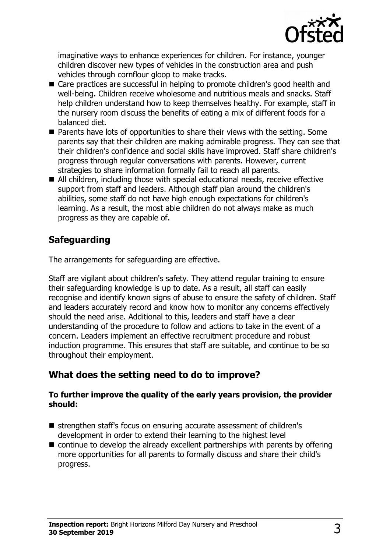

imaginative ways to enhance experiences for children. For instance, younger children discover new types of vehicles in the construction area and push vehicles through cornflour gloop to make tracks.

- $\blacksquare$  Care practices are successful in helping to promote children's good health and well-being. Children receive wholesome and nutritious meals and snacks. Staff help children understand how to keep themselves healthy. For example, staff in the nursery room discuss the benefits of eating a mix of different foods for a balanced diet.
- $\blacksquare$  Parents have lots of opportunities to share their views with the setting. Some parents say that their children are making admirable progress. They can see that their children's confidence and social skills have improved. Staff share children's progress through regular conversations with parents. However, current strategies to share information formally fail to reach all parents.
- $\blacksquare$  All children, including those with special educational needs, receive effective support from staff and leaders. Although staff plan around the children's abilities, some staff do not have high enough expectations for children's learning. As a result, the most able children do not always make as much progress as they are capable of.

## **Safeguarding**

The arrangements for safeguarding are effective.

Staff are vigilant about children's safety. They attend regular training to ensure their safeguarding knowledge is up to date. As a result, all staff can easily recognise and identify known signs of abuse to ensure the safety of children. Staff and leaders accurately record and know how to monitor any concerns effectively should the need arise. Additional to this, leaders and staff have a clear understanding of the procedure to follow and actions to take in the event of a concern. Leaders implement an effective recruitment procedure and robust induction programme. This ensures that staff are suitable, and continue to be so throughout their employment.

## **What does the setting need to do to improve?**

#### **To further improve the quality of the early years provision, the provider should:**

- strengthen staff's focus on ensuring accurate assessment of children's development in order to extend their learning to the highest level
- $\blacksquare$  continue to develop the already excellent partnerships with parents by offering more opportunities for all parents to formally discuss and share their child's progress.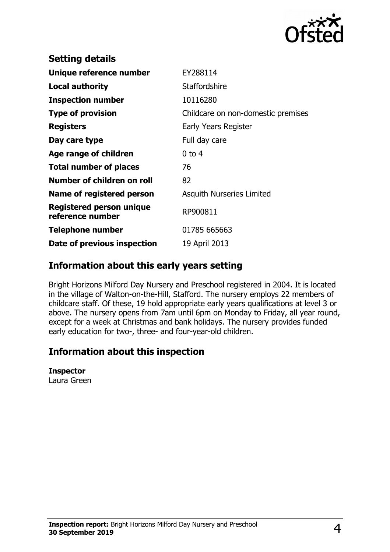

| <b>Setting details</b>                              |                                    |
|-----------------------------------------------------|------------------------------------|
| Unique reference number                             | EY288114                           |
| <b>Local authority</b>                              | Staffordshire                      |
| <b>Inspection number</b>                            | 10116280                           |
| <b>Type of provision</b>                            | Childcare on non-domestic premises |
| <b>Registers</b>                                    | Early Years Register               |
| Day care type                                       | Full day care                      |
| Age range of children                               | $0$ to 4                           |
| <b>Total number of places</b>                       | 76                                 |
| Number of children on roll                          | 82                                 |
| <b>Name of registered person</b>                    | <b>Asquith Nurseries Limited</b>   |
| <b>Registered person unique</b><br>reference number | RP900811                           |
| <b>Telephone number</b>                             | 01785 665663                       |
| Date of previous inspection                         | 19 April 2013                      |
|                                                     |                                    |

## **Information about this early years setting**

Bright Horizons Milford Day Nursery and Preschool registered in 2004. It is located in the village of Walton-on-the-Hill, Stafford. The nursery employs 22 members of childcare staff. Of these, 19 hold appropriate early years qualifications at level 3 or above. The nursery opens from 7am until 6pm on Monday to Friday, all year round, except for a week at Christmas and bank holidays. The nursery provides funded early education for two-, three- and four-year-old children.

## **Information about this inspection**

#### **Inspector**

Laura Green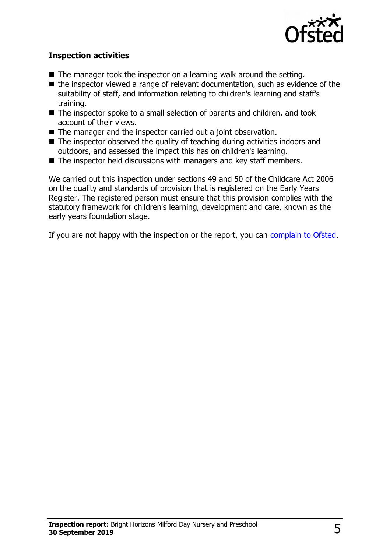

### **Inspection activities**

- $\blacksquare$  The manager took the inspector on a learning walk around the setting.
- $\blacksquare$  the inspector viewed a range of relevant documentation, such as evidence of the suitability of staff, and information relating to children's learning and staff's training.
- The inspector spoke to a small selection of parents and children, and took account of their views.
- $\blacksquare$  The manager and the inspector carried out a joint observation.
- $\blacksquare$  The inspector observed the quality of teaching during activities indoors and outdoors, and assessed the impact this has on children's learning.
- $\blacksquare$  The inspector held discussions with managers and key staff members.

We carried out this inspection under sections 49 and 50 of the Childcare Act 2006 on the quality and standards of provision that is registered on the Early Years Register. The registered person must ensure that this provision complies with the statutory framework for children's learning, development and care, known as the early years foundation stage.

If you are not happy with the inspection or the report, you can [complain to Ofsted.](http://www.gov.uk/complain-ofsted-report)